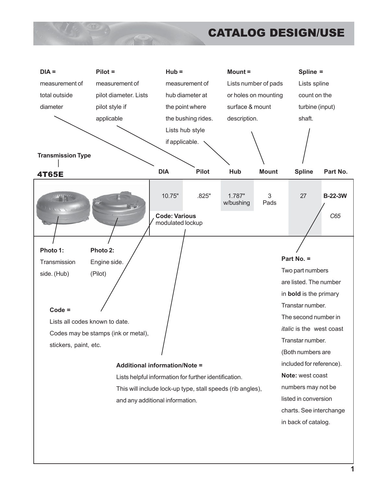### CATALOG DESIGN/USE

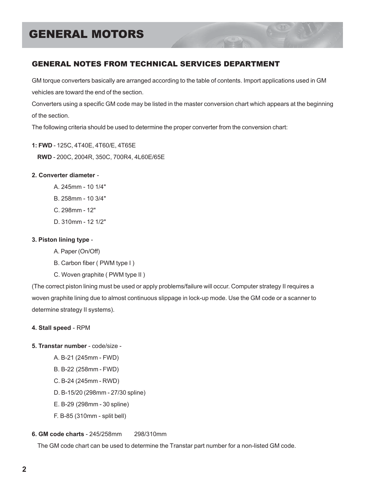### GENERAL NOTES FROM TECHNICAL SERVICES DEPARTMENT

GM torque converters basically are arranged according to the table of contents. Import applications used in GM vehicles are toward the end of the section.

Converters using a specific GM code may be listed in the master conversion chart which appears at the beginning of the section.

The following criteria should be used to determine the proper converter from the conversion chart:

- **1: FWD** 125C, 4T40E, 4T60/E, 4T65E
	- **RWD** 200C, 2004R, 350C, 700R4, 4L60E/65E

#### **2. Converter diameter** -

- A. 245mm 10 1/4"
- B. 258mm 10 3/4"
- C. 298mm 12"
- D. 310mm 12 1/2"

#### **3. Piston lining type** -

- A. Paper (On/Off)
- B. Carbon fiber ( PWM type I )
- C. Woven graphite ( PWM type II )

(The correct piston lining must be used or apply problems/failure will occur. Computer strategy II requires a woven graphite lining due to almost continuous slippage in lock-up mode. Use the GM code or a scanner to determine strategy II systems).

#### **4. Stall speed** - RPM

- **5. Transtar number** code/size
	- A. B-21 (245mm FWD)
	- B. B-22 (258mm FWD)
	- C. B-24 (245mm RWD)
	- D. B-15/20 (298mm 27/30 spline)
	- E. B-29 (298mm 30 spline)
	- F. B-85 (310mm split bell)

#### **6. GM code charts** - 245/258mm 298/310mm

The GM code chart can be used to determine the Transtar part number for a non-listed GM code.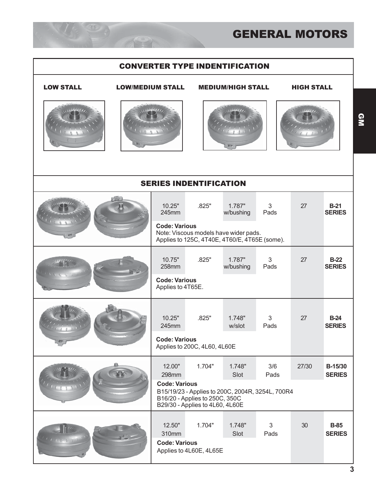#### CONVERTER TYPE INDENTIFICATION



#### LOW STALL LOW/MEDIUM STALL MEDIUM/HIGH STALL HIGH STALL





| <b>SERIES INDENTIFICATION</b> |                                           |                                                                                                                       |                     |             |       |                              |  |
|-------------------------------|-------------------------------------------|-----------------------------------------------------------------------------------------------------------------------|---------------------|-------------|-------|------------------------------|--|
|                               | 10.25"<br>245mm                           | .825"                                                                                                                 | 1.787"<br>w/bushing | 3<br>Pads   | 27    | $B-21$<br><b>SERIES</b>      |  |
|                               | <b>Code: Various</b>                      | Note: Viscous models have wider pads.<br>Applies to 125C, 4T40E, 4T60/E, 4T65E (some).                                |                     |             |       |                              |  |
|                               | 10.75"<br>258mm                           | .825"                                                                                                                 | 1.787"<br>w/bushing | 3<br>Pads   | 27    | $B-22$<br><b>SERIES</b>      |  |
|                               | <b>Code: Various</b><br>Applies to 4T65E. |                                                                                                                       |                     |             |       |                              |  |
|                               | 10.25"<br>245mm                           | .825"                                                                                                                 | 1.748"<br>w/slot    | 3<br>Pads   | 27    | $B-24$<br><b>SERIES</b>      |  |
|                               | <b>Code: Various</b>                      | Applies to 200C, 4L60, 4L60E                                                                                          |                     |             |       |                              |  |
|                               | 12.00"<br>298mm                           | 1.704"                                                                                                                | 1.748"<br>Slot      | 3/6<br>Pads | 27/30 | B-15/30<br><b>SERIES</b>     |  |
|                               | <b>Code: Various</b>                      | B15/19/23 - Applies to 200C, 2004R, 3254L, 700R4<br>B16/20 - Applies to 250C, 350C<br>B29/30 - Applies to 4L60, 4L60E |                     |             |       |                              |  |
|                               | 12.50"<br>310mm                           | 1.704"                                                                                                                | 1.748"<br>Slot      | 3<br>Pads   | 30    | <b>B-85</b><br><b>SERIES</b> |  |
|                               | <b>Code: Various</b>                      | Applies to 4L60E, 4L65E                                                                                               |                     |             |       |                              |  |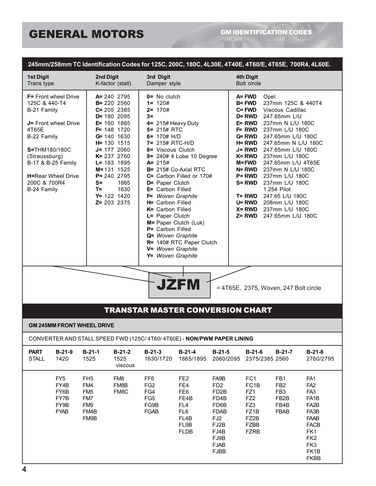#### **245mm/258mm TC Identification Codes for 125C, 200C, 180C, 4L30E, 4T40E, 4T60/E, 4T65E, 700R4, 4L60E.**

| <b>1st Digit</b><br>Trans type                                                                                                                                                                                                         | 2nd Digit                                                               | K-factor (stall)                                                                                                                                                                                                                                                                  | 3rd Digit<br>Damper style                                                                                                                                                                                                                                                                                                                                                                                                                                                                                                        |                                                                                                |                                                                                                                                                      | <b>4th Digit</b><br>Bolt circle                                                                                                                                                         |  |                                                                                                                                                                                                                                                                                                                                                                                                                         |                                                                                                                                                                                               |
|----------------------------------------------------------------------------------------------------------------------------------------------------------------------------------------------------------------------------------------|-------------------------------------------------------------------------|-----------------------------------------------------------------------------------------------------------------------------------------------------------------------------------------------------------------------------------------------------------------------------------|----------------------------------------------------------------------------------------------------------------------------------------------------------------------------------------------------------------------------------------------------------------------------------------------------------------------------------------------------------------------------------------------------------------------------------------------------------------------------------------------------------------------------------|------------------------------------------------------------------------------------------------|------------------------------------------------------------------------------------------------------------------------------------------------------|-----------------------------------------------------------------------------------------------------------------------------------------------------------------------------------------|--|-------------------------------------------------------------------------------------------------------------------------------------------------------------------------------------------------------------------------------------------------------------------------------------------------------------------------------------------------------------------------------------------------------------------------|-----------------------------------------------------------------------------------------------------------------------------------------------------------------------------------------------|
| <b>F=</b> Front wheel Drive<br>125C & 440-T4<br>B-21 Family<br><b>J=</b> Front wheel Drive<br>4T65E<br>B-22 Family<br>S=THM180/180C<br>(Straussburg)<br>B-17 & B-25 Family<br><b>H=Rear Wheel Drive</b><br>200C & 700R4<br>B-24 Family | S=<br>T=                                                                | $A = 240$ 2795<br><b>B</b> = 220 2560<br>$C = 205$ 2385<br>$D = 1802095$<br>$E = 160$ 1865<br>$F = 148$ 1720<br>$G = 140$ 1630<br>H= 130 1515<br>$J = 1772060$<br>K= 237 2760<br>$L = 163$ 1895<br>$M = 131$ 1525<br>P= 240 2795<br>1865<br>1630<br>$Y = 122$ 1420<br>Z= 203 2375 | $0 = No$ clutch<br>$1 = 120#$<br>$2 = 170#$<br>$3=$<br>4= 215# Heavy Duty<br>$5 = 215#$ RTC<br>6= $170#$ H/D<br>7= 215# RTC-H/D<br>8= Viscous Clutch<br>9= 240# 4 Lobe 10 Degree<br>$A = 215#$<br>B= 215# Co-Axial RTC<br>C= Carbon Filled or 170#<br>D= Paper Clutch<br>E= Carbon Filled<br>F= Woven Graphite<br>H= Carbon Filled<br>K= Carbon Filled<br>L= Paper Clutch<br>M= Paper Clutch (Luk)<br>P= Carbon Filled<br>Q= Woven Graphite<br>R= 140# RTC Paper Clutch<br>V= Woven Graphite<br>Y= Woven Graphite<br><b>JZFM</b> |                                                                                                | A=FWD<br><b>B= FWD</b>                                                                                                                               | C= FWD<br>$D = RWD$<br>E= RWD<br><b>F= RWD</b><br>G= RWD<br><b>H= RWD</b><br>J= RWD<br>K= RWD<br><b>M=FWD</b><br>N= RWD<br><b>P= RWD</b><br><b>S= RWD</b><br>T= RWD<br>U= RWD<br>X= RWD |  | Opel<br>237mm 125C & 440T4<br>Viscous Cadillac<br>247.65mm L/U<br>237mm N L/U 180C<br>237mm L/U 180C<br>247.65mm L/U 180C<br>247.65mm N L/U 180C<br>247.65mm L/U 180C<br>237mm L/U 180C<br>247.65mm L/U 4T65E<br>237mm N L/U 180C<br>237mm L/U 180C<br>237mm L/U 180C<br>1.254 Pilot<br>247.65 L/U 180C<br>208mm L/U 180C<br>237mm L/U 180C<br><b>Z= RWD</b> 247.65mm L/U 180C<br>= 4T65E, 2375, Woven, 247 Bolt circle |                                                                                                                                                                                               |
|                                                                                                                                                                                                                                        |                                                                         |                                                                                                                                                                                                                                                                                   |                                                                                                                                                                                                                                                                                                                                                                                                                                                                                                                                  | <b>TRANSTAR MASTER CONVERSION CHART</b>                                                        |                                                                                                                                                      |                                                                                                                                                                                         |  |                                                                                                                                                                                                                                                                                                                                                                                                                         |                                                                                                                                                                                               |
| <b>GM 245MM FRONT WHEEL DRIVE</b><br>CONVERTER AND STALL SPEED FWD (125C/4T60/4T60E) - NON/PWM PAPER LINING                                                                                                                            |                                                                         |                                                                                                                                                                                                                                                                                   |                                                                                                                                                                                                                                                                                                                                                                                                                                                                                                                                  |                                                                                                |                                                                                                                                                      |                                                                                                                                                                                         |  |                                                                                                                                                                                                                                                                                                                                                                                                                         |                                                                                                                                                                                               |
| <b>PART</b><br>$B-21-9$<br><b>STALL</b><br>1420                                                                                                                                                                                        | $B-21-1$<br>1525                                                        | $B-21-2$<br>1525<br>viscous                                                                                                                                                                                                                                                       | $B-21-3$<br>1630/1720                                                                                                                                                                                                                                                                                                                                                                                                                                                                                                            | $B-21-4$<br>1865/1895                                                                          | $B-21-5$<br>2060/2095                                                                                                                                | $B-21-6$<br>2375/2385 2560                                                                                                                                                              |  | $B-21-7$                                                                                                                                                                                                                                                                                                                                                                                                                | $B-21-8$<br>2760/2795                                                                                                                                                                         |
| FY <sub>5</sub><br>FY4B<br>FY6B<br>FY7B<br>FY9B<br><b>FYAB</b>                                                                                                                                                                         | FH <sub>5</sub><br>FM4<br>FM <sub>5</sub><br>FM7<br>FM9<br>FM4B<br>FM9B | FM8<br>FM8B<br>FM8C                                                                                                                                                                                                                                                               | FF <sub>6</sub><br>FG <sub>2</sub><br>FG4<br>FG <sub>5</sub><br>FG9B<br>FGAB                                                                                                                                                                                                                                                                                                                                                                                                                                                     | FE <sub>2</sub><br>FE4<br>FE <sub>6</sub><br>FE4B<br>FL4<br>FL6<br>FL4B<br>FL9B<br><b>FLDB</b> | FA9B<br>FD <sub>2</sub><br>FD <sub>2</sub> B<br>FD4B<br>FD6B<br><b>FDAB</b><br>FJ <sub>2</sub><br>FJ2B<br>FJ4B<br>FJ9B<br><b>FJAB</b><br><b>FJBB</b> | FC <sub>1</sub><br>FC <sub>1B</sub><br>FZ1<br>FZ <sub>2</sub><br>FZ3<br>FZ1B<br>FZ2B<br><b>FZBB</b><br><b>FZRB</b>                                                                      |  | FB1<br>FB <sub>2</sub><br>FB <sub>3</sub><br>FB2B<br>FB4B<br><b>FBAB</b>                                                                                                                                                                                                                                                                                                                                                | FA <sub>1</sub><br>FA <sub>2</sub><br>FA <sub>3</sub><br>FA <sub>1</sub> B<br>FA <sub>2</sub> B<br>FA3B<br><b>FAAB</b><br><b>FACB</b><br>FK1<br>FK <sub>2</sub><br>FK3<br>FK1B<br><b>FKBB</b> |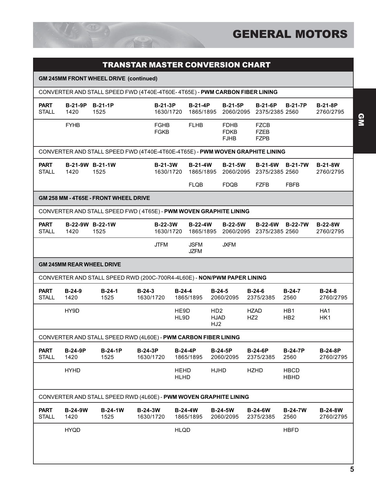

|                             |                                  | <b>GM 245MM FRONT WHEEL DRIVE (continued)</b>                                 |                             |                             |                             |                                           |                                           |                                                                        |                             |
|-----------------------------|----------------------------------|-------------------------------------------------------------------------------|-----------------------------|-----------------------------|-----------------------------|-------------------------------------------|-------------------------------------------|------------------------------------------------------------------------|-----------------------------|
|                             |                                  | CONVERTER AND STALL SPEED FWD (4T40E-4T60E-4T65E) - PWM CARBON FIBER LINING   |                             |                             |                             |                                           |                                           |                                                                        |                             |
| <b>PART</b><br><b>STALL</b> | B-21-9P B-21-1P<br>1420          | 1525                                                                          |                             | <b>B-21-3P</b><br>1630/1720 | $B-21-4P$                   | <b>B-21-5P</b>                            |                                           | <b>B-21-6P</b><br><b>B-21-7P</b><br>1865/1895 2060/2095 2375/2385 2560 | $B-21-8P$<br>2760/2795      |
|                             | <b>FYHB</b>                      |                                                                               |                             | <b>FGHB</b><br><b>FGKB</b>  | <b>FLHB</b>                 | <b>FDHB</b><br><b>FDKB</b><br><b>FJHB</b> | <b>FZCB</b><br><b>FZEB</b><br><b>FZPB</b> |                                                                        |                             |
|                             |                                  | CONVERTER AND STALL SPEED FWD (4T40E-4T60E-4T65E) - PWM WOVEN GRAPHITE LINING |                             |                             |                             |                                           |                                           |                                                                        |                             |
| <b>PART</b><br><b>STALL</b> | B-21-9W B-21-1W<br>1420          | 1525                                                                          |                             | <b>B-21-3W</b><br>1630/1720 | <b>B-21-4W</b>              | <b>B-21-5W</b>                            |                                           | B-21-6W B-21-7W<br>1865/1895 2060/2095 2375/2385 2560                  | <b>B-21-8W</b><br>2760/2795 |
|                             |                                  |                                                                               |                             |                             | <b>FLQB</b>                 | <b>FDQB</b>                               | <b>FZFB</b>                               | <b>FBFB</b>                                                            |                             |
|                             |                                  | GM 258 MM - 4T65E - FRONT WHEEL DRIVE                                         |                             |                             |                             |                                           |                                           |                                                                        |                             |
|                             |                                  | CONVERTER AND STALL SPEED FWD (4T65E) - PWM WOVEN GRAPHITE LINING             |                             |                             |                             |                                           |                                           |                                                                        |                             |
|                             |                                  | B-22-9W B-22-1W                                                               |                             | <b>B-22-3W</b>              | <b>B-22-4W</b>              | <b>B-22-5W</b>                            | 1865/1895 2060/2095 2375/2385 2560        | <b>B-22-6W</b><br><b>B-22-7W</b>                                       | <b>B-22-8W</b><br>2760/2795 |
| <b>PART</b><br><b>STALL</b> | 1420                             | 1525                                                                          |                             | 1630/1720                   |                             |                                           |                                           |                                                                        |                             |
|                             |                                  |                                                                               | <b>JTFM</b>                 |                             | <b>JSFM</b><br><b>JZFM</b>  | <b>JXFM</b>                               |                                           |                                                                        |                             |
|                             | <b>GM 245MM REAR WHEEL DRIVE</b> |                                                                               |                             |                             |                             |                                           |                                           |                                                                        |                             |
|                             |                                  | CONVERTER AND STALL SPEED RWD (200C-700R4-4L60E) - NON/PWM PAPER LINING       |                             |                             |                             |                                           |                                           |                                                                        |                             |
| <b>PART</b><br><b>STALL</b> | $B-24-9$<br>1420                 | $B-24-1$<br>1525                                                              | $B-24-3$<br>1630/1720       | $B-24-4$                    | 1865/1895                   | $B-24-5$<br>2060/2095                     | $B-24-6$<br>2375/2385                     | $B-24-7$<br>2560                                                       | $B-24-8$<br>2760/2795       |
|                             | HY9D                             |                                                                               |                             | HE9D<br>HL9D                |                             | HD <sub>2</sub><br>HJAD<br>HJ2            | <b>HZAD</b><br>HZ <sub>2</sub>            | HB <sub>1</sub><br>HB <sub>2</sub>                                     | HA <sub>1</sub><br>HK1      |
|                             |                                  | CONVERTER AND STALL SPEED RWD (4L60E) - PWM CARBON FIBER LINING               |                             |                             |                             |                                           |                                           |                                                                        |                             |
| <b>PART</b><br><b>STALL</b> | <b>B-24-9P</b><br>1420           | $B-24-1P$<br>1525                                                             | $B-24-3P$<br>1630/1720      |                             | $B-24-4P$<br>1865/1895      | $B-24-5P$<br>2060/2095                    | <b>B-24-6P</b><br>2375/2385               | <b>B-24-7P</b><br>2560                                                 | <b>B-24-8P</b><br>2760/2795 |
|                             | <b>HYHD</b>                      |                                                                               |                             | <b>HEHD</b><br><b>HLHD</b>  |                             | <b>HJHD</b>                               | <b>HZHD</b>                               | <b>HBCD</b><br><b>HBHD</b>                                             |                             |
|                             |                                  | CONVERTER AND STALL SPEED RWD (4L60E) - PWM WOVEN GRAPHITE LINING             |                             |                             |                             |                                           |                                           |                                                                        |                             |
| <b>PART</b><br><b>STALL</b> | <b>B-24-9W</b><br>1420           | <b>B-24-1W</b><br>1525                                                        | <b>B-24-3W</b><br>1630/1720 |                             | <b>B-24-4W</b><br>1865/1895 | <b>B-24-5W</b><br>2060/2095               | <b>B-24-6W</b><br>2375/2385               | <b>B-24-7W</b><br>2560                                                 | <b>B-24-8W</b><br>2760/2795 |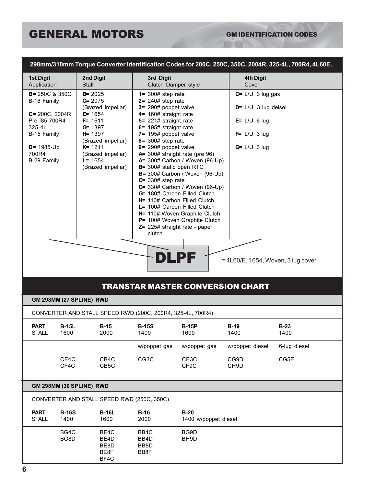### GM IDENTIFICATION CODES

ACON

|                                                                                                                                                   |                                                                                                                                                                                                  |                                                                                                                                                                                                                                                                                                                                                                                                                                                            |                                                                                                                                                                         |                                                                                                                  | 298mm/310mm Torque Converter Identification Codes for 200C, 250C, 350C, 2004R, 325-4L, 700R4, 4L60E. |  |  |  |
|---------------------------------------------------------------------------------------------------------------------------------------------------|--------------------------------------------------------------------------------------------------------------------------------------------------------------------------------------------------|------------------------------------------------------------------------------------------------------------------------------------------------------------------------------------------------------------------------------------------------------------------------------------------------------------------------------------------------------------------------------------------------------------------------------------------------------------|-------------------------------------------------------------------------------------------------------------------------------------------------------------------------|------------------------------------------------------------------------------------------------------------------|------------------------------------------------------------------------------------------------------|--|--|--|
| <b>1st Digit</b><br>Application                                                                                                                   | 2nd Digit<br>Stall                                                                                                                                                                               | 3rd Digit<br>Clutch Damper style                                                                                                                                                                                                                                                                                                                                                                                                                           |                                                                                                                                                                         | 4th Digit<br>Cover                                                                                               |                                                                                                      |  |  |  |
| <b>B= 250C &amp; 350C</b><br>B-16 Family<br>$C = 200C, 2004R$<br>Pre 185 700R4<br>325-4L<br>B-15 Family<br>$D = 1985$ -Up<br>700R4<br>B-29 Family | $B = 2025$<br>$C = 2075$<br>(Brazed impellar)<br>$E = 1654$<br>$F = 1611$<br>$G = 1397$<br>$H = 1397$<br>(Brazed impellar)<br>$K = 1211$<br>(Brazed impellar)<br>$L = 1654$<br>(Brazed impellar) | $1 = 300#$ step rate<br>$2 = 240#$ step rate<br>3= 290# poppet valve<br>4= 160# straight rate<br>5= 221# straight rate<br>6= 195# straight rate<br>7= 195# poppet valve<br>$8 = 300#$ step rate<br>$9 = 290#$ poppet valve<br>A= 300# straight rate (pre 96)<br>B= 300# static open RTC<br>$C = 330#$ step rate<br>G= 180# Carbon Filled Clutch<br>H= 110# Carbon Filled Clutch<br>L= 100# Carbon Filled Clutch<br>Z= 225# straight rate - paper<br>clutch | A= 300# Carbon / Woven (96-Up)<br>B= 300# Carbon / Woven (96-Up)<br>$C = 330#$ Carbon / Woven (96-Up)<br>N= 110# Woven Graphite Clutch<br>P= 100# Woven Graphite Clutch | $C = L/U$ , 3 lug gas<br>$D = L/U$ , 3 lug deisel<br>$E = L/U$ , 6 lug<br>$F = L/U$ , 3 lug<br>$G = L/U$ , 3 lug |                                                                                                      |  |  |  |
| DILPE<br>$=$ 4L60/E, 1654, Woven, 3 lug cover                                                                                                     |                                                                                                                                                                                                  |                                                                                                                                                                                                                                                                                                                                                                                                                                                            |                                                                                                                                                                         |                                                                                                                  |                                                                                                      |  |  |  |
| GM 298MM (27 SPLINE) RWD                                                                                                                          |                                                                                                                                                                                                  |                                                                                                                                                                                                                                                                                                                                                                                                                                                            | <b>TRANSTAR MASTER CONVERSION CHART</b>                                                                                                                                 |                                                                                                                  |                                                                                                      |  |  |  |
|                                                                                                                                                   | CONVERTER AND STALL SPEED RWD (200C, 200R4, 325-4L, 700R4)                                                                                                                                       |                                                                                                                                                                                                                                                                                                                                                                                                                                                            |                                                                                                                                                                         |                                                                                                                  |                                                                                                      |  |  |  |
| <b>PART</b><br><b>B-15L</b><br><b>STALL</b><br>1600                                                                                               | $B-15$<br>2000                                                                                                                                                                                   | <b>B-15S</b><br>1400                                                                                                                                                                                                                                                                                                                                                                                                                                       | <b>B-15P</b><br>1600                                                                                                                                                    | $B-19$<br>1400                                                                                                   | $B-23$<br>1400                                                                                       |  |  |  |
|                                                                                                                                                   |                                                                                                                                                                                                  | w/poppet gas                                                                                                                                                                                                                                                                                                                                                                                                                                               | w/poppet gas                                                                                                                                                            | w/poppet diesel                                                                                                  | 6-lug diesel                                                                                         |  |  |  |
| CE4C<br>CF4C                                                                                                                                      | CB4C<br>CB5C                                                                                                                                                                                     | CG3C                                                                                                                                                                                                                                                                                                                                                                                                                                                       | CE3C<br>CF9C                                                                                                                                                            | CG9D<br>CH <sub>9</sub> D                                                                                        | CG5E                                                                                                 |  |  |  |
| GM 298MM (30 SPLINE) RWD                                                                                                                          |                                                                                                                                                                                                  |                                                                                                                                                                                                                                                                                                                                                                                                                                                            |                                                                                                                                                                         |                                                                                                                  |                                                                                                      |  |  |  |
|                                                                                                                                                   | CONVERTER AND STALL SPEED RWD (250C, 350C)                                                                                                                                                       |                                                                                                                                                                                                                                                                                                                                                                                                                                                            |                                                                                                                                                                         |                                                                                                                  |                                                                                                      |  |  |  |
| <b>PART</b><br><b>B-16S</b><br><b>STALL</b><br>1400                                                                                               | <b>B-16L</b><br>1600                                                                                                                                                                             | $B-16$<br>2000                                                                                                                                                                                                                                                                                                                                                                                                                                             | $B-20$<br>1400 w/poppet diesel                                                                                                                                          |                                                                                                                  |                                                                                                      |  |  |  |
| BG4C<br>BG8D                                                                                                                                      | BE4C<br>BE4D<br>BE8D<br>BE8F<br>BF4C                                                                                                                                                             | BB4C<br>BB4D<br>BB8D<br>BB8F                                                                                                                                                                                                                                                                                                                                                                                                                               | BG9D<br>BH <sub>9</sub> D                                                                                                                                               |                                                                                                                  |                                                                                                      |  |  |  |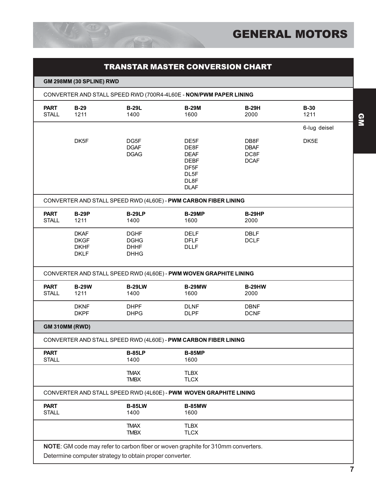

|                             | <b>TRANSTAR MASTER CONVERSION CHART</b>                  |                                                          |                                                                                               |                                            |                |  |  |  |  |  |
|-----------------------------|----------------------------------------------------------|----------------------------------------------------------|-----------------------------------------------------------------------------------------------|--------------------------------------------|----------------|--|--|--|--|--|
|                             | GM 298MM (30 SPLINE) RWD                                 |                                                          |                                                                                               |                                            |                |  |  |  |  |  |
|                             |                                                          |                                                          | CONVERTER AND STALL SPEED RWD (700R4-4L60E - NON/PWM PAPER LINING                             |                                            |                |  |  |  |  |  |
| <b>PART</b><br><b>STALL</b> | $B-29$<br>1211                                           | <b>B-29L</b><br>1400                                     | <b>B-29M</b><br>1600                                                                          | <b>B-29H</b><br>2000                       | $B-30$<br>1211 |  |  |  |  |  |
|                             |                                                          |                                                          |                                                                                               |                                            | 6-lug deisel   |  |  |  |  |  |
|                             | DK5F                                                     | DG5F<br><b>DGAF</b><br><b>DGAG</b>                       | DE5F<br>DE8F<br><b>DEAF</b><br><b>DEBF</b><br>DF <sub>5F</sub><br>DL5F<br>DL8F<br><b>DLAF</b> | DB8F<br><b>DBAF</b><br>DC8F<br><b>DCAF</b> | DK5E           |  |  |  |  |  |
|                             |                                                          |                                                          | CONVERTER AND STALL SPEED RWD (4L60E) - PWM CARBON FIBER LINING                               |                                            |                |  |  |  |  |  |
| <b>PART</b><br><b>STALL</b> | <b>B-29P</b><br>1211                                     | <b>B-29LP</b><br>1400                                    | <b>B-29MP</b><br>1600                                                                         | <b>B-29HP</b><br>2000                      |                |  |  |  |  |  |
|                             | <b>DKAF</b><br><b>DKGF</b><br><b>DKHF</b><br><b>DKLF</b> | <b>DGHF</b><br><b>DGHG</b><br><b>DHHF</b><br><b>DHHG</b> | <b>DELF</b><br><b>DFLF</b><br><b>DLLF</b>                                                     | <b>DBLF</b><br><b>DCLF</b>                 |                |  |  |  |  |  |
|                             |                                                          |                                                          | CONVERTER AND STALL SPEED RWD (4L60E) - PWM WOVEN GRAPHITE LINING                             |                                            |                |  |  |  |  |  |
| <b>PART</b><br><b>STALL</b> | <b>B-29W</b><br>1211                                     | <b>B-29LW</b><br>1400                                    | <b>B-29MW</b><br>1600                                                                         | <b>B-29HW</b><br>2000                      |                |  |  |  |  |  |
|                             | <b>DKNF</b><br><b>DKPF</b>                               | <b>DHPF</b><br><b>DHPG</b>                               | <b>DLNF</b><br><b>DLPF</b>                                                                    | <b>DBNF</b><br><b>DCNF</b>                 |                |  |  |  |  |  |
|                             | <b>GM 310MM (RWD)</b>                                    |                                                          |                                                                                               |                                            |                |  |  |  |  |  |
|                             |                                                          |                                                          | CONVERTER AND STALL SPEED RWD (4L60E) - PWM CARBON FIBER LINING                               |                                            |                |  |  |  |  |  |
| <b>PART</b><br><b>STALL</b> |                                                          | <b>B-85LP</b><br>1400                                    | <b>B-85MP</b><br>1600                                                                         |                                            |                |  |  |  |  |  |
|                             |                                                          | <b>TMAX</b><br><b>TMBX</b>                               | <b>TLBX</b><br><b>TLCX</b>                                                                    |                                            |                |  |  |  |  |  |
|                             |                                                          |                                                          | CONVERTER AND STALL SPEED RWD (4L60E) - PWM WOVEN GRAPHITE LINING                             |                                            |                |  |  |  |  |  |
| <b>PART</b><br><b>STALL</b> |                                                          | <b>B-85LW</b><br>1400                                    | <b>B-85MW</b><br>1600                                                                         |                                            |                |  |  |  |  |  |
|                             |                                                          | <b>TMAX</b><br><b>TMBX</b>                               | <b>TLBX</b><br><b>TLCX</b>                                                                    |                                            |                |  |  |  |  |  |
|                             |                                                          |                                                          | NOTE: GM code may refer to carbon fiber or woven graphite for 310mm converters.               |                                            |                |  |  |  |  |  |

Determine computer strategy to obtain proper converter.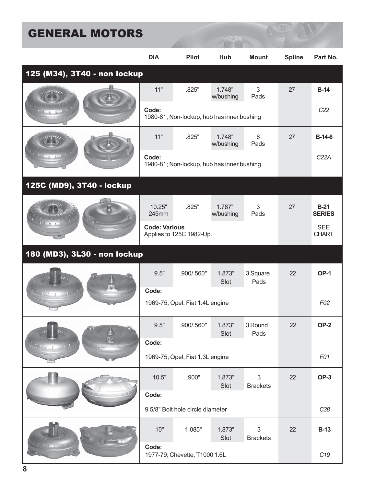|                              | <b>DIA</b>           | <b>Pilot</b>                               | Hub                 | <b>Mount</b>                  | <b>Spline</b> | Part No.                   |
|------------------------------|----------------------|--------------------------------------------|---------------------|-------------------------------|---------------|----------------------------|
| 125 (M34), 3T40 - non lockup |                      |                                            |                     |                               |               |                            |
|                              | 11"                  | .825"                                      | 1.748"<br>w/bushing | $\mathfrak{S}$<br>Pads        | 27            | $B-14$                     |
|                              | Code:                | 1980-81; Non-lockup, hub has inner bushing |                     | C <sub>22</sub>               |               |                            |
|                              | 11"                  | .825"                                      | 1.748"<br>w/bushing | 6<br>Pads                     | 27            | $B-14-6$                   |
|                              | Code:                | 1980-81; Non-lockup, hub has inner bushing |                     |                               |               | C22A                       |
| 125C (MD9), 3T40 - lockup    |                      |                                            |                     |                               |               |                            |
|                              | 10.25"<br>245mm      | .825"                                      | 1.787"<br>w/bushing | 3<br>Pads                     | 27            | $B-21$<br><b>SERIES</b>    |
|                              | <b>Code: Various</b> | Applies to 125C 1982-Up.                   |                     |                               |               | <b>SEE</b><br><b>CHART</b> |
| 180 (MD3), 3L30 - non lockup |                      |                                            |                     |                               |               |                            |
|                              | 9.5"                 | .900/.560"                                 | 1.873"<br>Slot      | 3 Square<br>Pads              | 22            | <b>OP-1</b>                |
| $(1 + 1)$                    | Code:                | 1969-75; Opel, Fiat 1.4L engine            |                     |                               |               | F02                        |
|                              | 9.5"                 | .900/.560"                                 | 1.873"<br>Slot      | 3 Round<br>Pads               | 22            | OP-2                       |
|                              | Code:                |                                            |                     |                               |               |                            |
|                              |                      | 1969-75; Opel, Fiat 1.3L engine            |                     |                               |               | F01                        |
|                              | 10.5"                | .900"                                      | 1.873"<br>Slot      | 3<br><b>Brackets</b>          | 22            | <b>OP-3</b>                |
|                              | Code:                |                                            |                     |                               |               |                            |
|                              |                      | 95/8" Bolt hole circle diameter            |                     |                               |               | C38                        |
|                              | 10"                  | 1.085"                                     | 1.873"<br>Slot      | $\sqrt{3}$<br><b>Brackets</b> | 22            | <b>B-13</b>                |
|                              | Code:                | 1977-79; Chevette, T1000 1.6L              |                     |                               |               | C <sub>19</sub>            |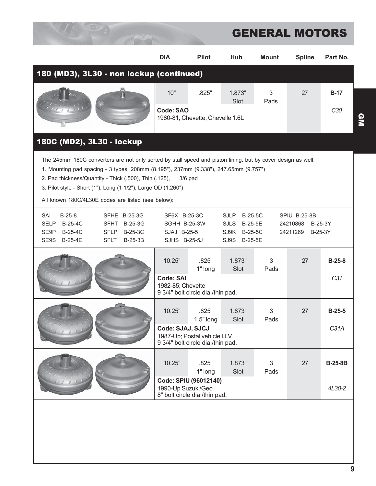|                                                                                                                                                                                                                                                                                                                                                                                                    | <b>DIA</b>                                                                            | <b>Pilot</b>                                                     | Hub            | <b>Mount</b> | <b>Spline</b> | Part No.                    |  |  |
|----------------------------------------------------------------------------------------------------------------------------------------------------------------------------------------------------------------------------------------------------------------------------------------------------------------------------------------------------------------------------------------------------|---------------------------------------------------------------------------------------|------------------------------------------------------------------|----------------|--------------|---------------|-----------------------------|--|--|
| 180 (MD3), 3L30 - non lockup (continued)                                                                                                                                                                                                                                                                                                                                                           |                                                                                       |                                                                  |                |              |               |                             |  |  |
|                                                                                                                                                                                                                                                                                                                                                                                                    | 10"                                                                                   | .825"                                                            | 1.873"         | 3            | 27            | <b>B-17</b>                 |  |  |
|                                                                                                                                                                                                                                                                                                                                                                                                    | <b>Code: SAO</b>                                                                      | 1980-81; Chevette, Chevelle 1.6L                                 | Slot           | Pads         |               | C30                         |  |  |
|                                                                                                                                                                                                                                                                                                                                                                                                    |                                                                                       |                                                                  |                |              |               |                             |  |  |
| 180C (MD2), 3L30 - lockup                                                                                                                                                                                                                                                                                                                                                                          |                                                                                       |                                                                  |                |              |               |                             |  |  |
| The 245mm 180C converters are not only sorted by stall speed and piston lining, but by cover design as well:<br>1. Mounting pad spacing - 3 types: 208mm (8.195"), 237mm (9.338"), 247.65mm (9.757")<br>2. Pad thickness/Quantity - Thick (.500), Thin (.125),<br>$3/6$ pad<br>3. Pilot style - Short (1"), Long (1 1/2"), Large OD (1.260")<br>All known 180C/4L30E codes are listed (see below): |                                                                                       |                                                                  |                |              |               |                             |  |  |
| $B-25-8$<br>SAI<br>SFHE B-25-3G<br>SF6X B-25-3C<br><b>SJLP</b><br><b>B-25-5C</b><br>SPIU B-25-8B<br><b>B-25-4C</b><br><b>SELP</b><br><b>SFHT</b><br>B-25-3G<br>SGHH B-25-3W<br>SJLS<br>B-25-5E<br>24210868<br>B-25-3Y                                                                                                                                                                              |                                                                                       |                                                                  |                |              |               |                             |  |  |
| B-25-4C<br>SE9P<br><b>SFLP</b><br>B-25-3C<br>SE9S<br>B-25-4E<br><b>SFLT</b><br><b>B-25-3B</b>                                                                                                                                                                                                                                                                                                      | SJAJ B-25-5<br>SJ9K B-25-5C<br>24211269<br>B-25-3Y<br>SJHS B-25-5J<br>SJ9S<br>B-25-5E |                                                                  |                |              |               |                             |  |  |
|                                                                                                                                                                                                                                                                                                                                                                                                    | 10.25"<br><b>Code: SAI</b>                                                            | .825"<br>1" long                                                 | 1.873"<br>Slot | 3<br>Pads    | 27            | $B-25-8$<br>C <sub>31</sub> |  |  |
|                                                                                                                                                                                                                                                                                                                                                                                                    | 1982-85; Chevette                                                                     | 9 3/4" bolt circle dia./thin pad.                                |                |              |               |                             |  |  |
|                                                                                                                                                                                                                                                                                                                                                                                                    | 10.25"                                                                                | .825"<br>$1.5"$ long                                             | 1.873"<br>Slot | 3<br>Pads    | 27            | $B-25-5$                    |  |  |
|                                                                                                                                                                                                                                                                                                                                                                                                    | Code: SJAJ, SJCJ                                                                      | 1987-Up; Postal vehicle LLV<br>9 3/4" bolt circle dia./thin pad. |                |              |               | C31A                        |  |  |
|                                                                                                                                                                                                                                                                                                                                                                                                    | 10.25"                                                                                | .825"<br>1" long                                                 | 1.873"<br>Slot | 3<br>Pads    | 27            | <b>B-25-8B</b>              |  |  |
|                                                                                                                                                                                                                                                                                                                                                                                                    | 1990-Up Suzuki/Geo                                                                    | Code: SPIU (96012140)<br>8" bolt circle dia./thin pad.           |                |              |               | 4L30-2                      |  |  |
|                                                                                                                                                                                                                                                                                                                                                                                                    |                                                                                       |                                                                  |                |              |               |                             |  |  |
|                                                                                                                                                                                                                                                                                                                                                                                                    |                                                                                       |                                                                  |                |              |               |                             |  |  |
|                                                                                                                                                                                                                                                                                                                                                                                                    |                                                                                       |                                                                  |                |              |               |                             |  |  |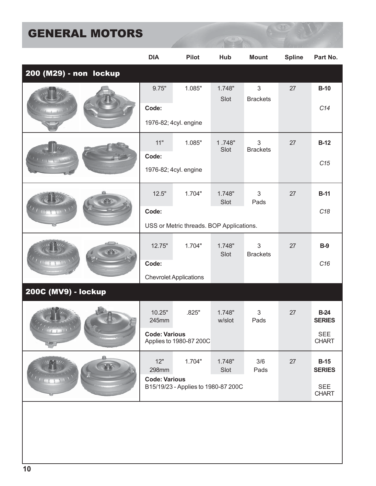|                        | <b>DIA</b>           | <b>Pilot</b>                             | Hub              | <b>Mount</b>         | <b>Spline</b> | Part No.                   |
|------------------------|----------------------|------------------------------------------|------------------|----------------------|---------------|----------------------------|
| 200 (M29) - non lockup |                      |                                          |                  |                      |               |                            |
|                        | 9.75"                | 1.085"                                   | 1.748"<br>Slot   | 3<br><b>Brackets</b> | 27            | $B-10$                     |
|                        | Code:                |                                          |                  |                      |               | C14                        |
|                        |                      | 1976-82; 4cyl. engine                    |                  |                      |               |                            |
|                        | 11"                  | 1.085"                                   | 1.748"<br>Slot   | 3<br><b>Brackets</b> | 27            | $B-12$                     |
|                        | Code:                |                                          |                  |                      |               | C15                        |
|                        |                      | 1976-82; 4cyl. engine                    |                  |                      |               |                            |
|                        | 12.5"                | 1.704"                                   | 1.748"<br>Slot   | 3<br>Pads            | 27            | <b>B-11</b>                |
|                        | Code:                |                                          |                  |                      |               | C18                        |
|                        |                      | USS or Metric threads. BOP Applications. |                  |                      |               |                            |
|                        | 12.75"               | 1.704"                                   | 1.748"<br>Slot   | 3<br><b>Brackets</b> | 27            | <b>B-9</b>                 |
|                        | Code:                |                                          |                  |                      |               | C16                        |
|                        |                      | <b>Chevrolet Applications</b>            |                  |                      |               |                            |
| 200C (MV9) - lockup    |                      |                                          |                  |                      |               |                            |
|                        | 10.25"<br>245mm      | .825"                                    | 1.748"<br>w/slot | 3<br>Pads            | 27            | $B-24$<br><b>SERIES</b>    |
|                        | <b>Code: Various</b> | Applies to 1980-87 200C                  |                  |                      |               | <b>SEE</b><br><b>CHART</b> |
|                        | 12"<br>298mm         | 1.704"                                   | 1.748"<br>Slot   | 3/6<br>Pads          | 27            | $B-15$<br><b>SERIES</b>    |
|                        | <b>Code: Various</b> | B15/19/23 - Applies to 1980-87 200C      |                  |                      |               | <b>SEE</b>                 |
|                        |                      |                                          |                  |                      |               | <b>CHART</b>               |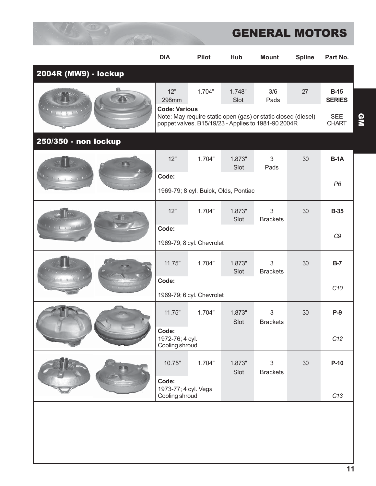|                      | <b>DIA</b>                                 | <b>Pilot</b>                                                                                                         | Hub            | <b>Mount</b>         | <b>Spline</b> | Part No.                   |
|----------------------|--------------------------------------------|----------------------------------------------------------------------------------------------------------------------|----------------|----------------------|---------------|----------------------------|
| 2004R (MW9) - lockup |                                            |                                                                                                                      |                |                      |               |                            |
|                      | 12"<br>298mm<br><b>Code: Various</b>       | 1.704"                                                                                                               | 1.748"<br>Slot | 3/6<br>Pads          | 27            | $B-15$<br><b>SERIES</b>    |
|                      |                                            | Note: May require static open (gas) or static closed (diesel)<br>poppet valves. B15/19/23 - Applies to 1981-90 2004R |                |                      |               | <b>SEE</b><br><b>CHART</b> |
| 250/350 - non lockup |                                            |                                                                                                                      |                |                      |               |                            |
| $1 - 0 - 1$          | 12"                                        | 1.704"                                                                                                               | 1.873"<br>Slot | 3<br>Pads            | 30            | $B-1A$                     |
|                      | Code:                                      |                                                                                                                      |                |                      | P6            |                            |
|                      |                                            | 1969-79; 8 cyl. Buick, Olds, Pontiac                                                                                 |                |                      |               |                            |
|                      | 12"                                        | 1.704"                                                                                                               | 1.873"<br>Slot | 3<br><b>Brackets</b> | 30            | <b>B-35</b>                |
|                      | Code:                                      |                                                                                                                      |                |                      |               | C <sub>9</sub>             |
|                      |                                            | 1969-79; 8 cyl. Chevrolet                                                                                            |                |                      |               |                            |
|                      | 11.75"                                     | 1.704"                                                                                                               | 1.873"<br>Slot | 3<br><b>Brackets</b> | 30            | $B-7$                      |
|                      | Code:                                      |                                                                                                                      |                |                      |               | C <sub>10</sub>            |
|                      |                                            | 1969-79; 6 cyl. Chevrolet                                                                                            |                |                      |               |                            |
|                      | 11.75"                                     | 1.704"                                                                                                               | 1.873"<br>Slot | 3<br><b>Brackets</b> | 30            | $P-9$                      |
|                      | Code:<br>1972-76; 4 cyl.<br>Cooling shroud |                                                                                                                      |                | C12                  |               |                            |
|                      | 10.75"                                     | 1.704"                                                                                                               | 1.873"<br>Slot | 3<br><b>Brackets</b> | 30            | $P-10$                     |
|                      | Code:<br>1973-77; 4 cyl. Vega              |                                                                                                                      |                |                      |               |                            |
|                      | Cooling shroud                             |                                                                                                                      |                |                      |               | C13                        |
|                      |                                            |                                                                                                                      |                |                      |               |                            |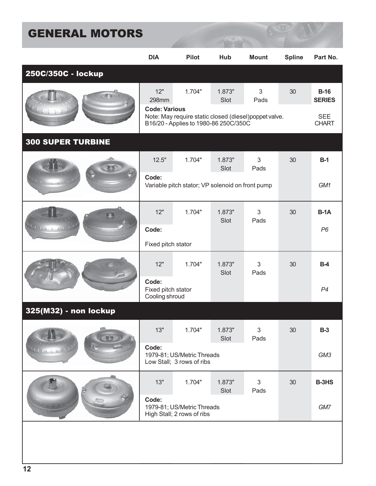|                          | <b>DIA</b>                                    | <b>Pilot</b>                                                    | Hub            | <b>Mount</b>           | <b>Spline</b> | Part No.                              |
|--------------------------|-----------------------------------------------|-----------------------------------------------------------------|----------------|------------------------|---------------|---------------------------------------|
| 250C/350C - lockup       |                                               |                                                                 |                |                        |               |                                       |
|                          | 12"<br>298mm<br><b>Code: Various</b>          | 1.704"<br>Note: May require static closed (diesel)poppet valve. | 1.873"<br>Slot | 3<br>Pads              | 30            | $B-16$<br><b>SERIES</b><br><b>SEE</b> |
|                          |                                               | B16/20 - Applies to 1980-86 250C/350C                           |                |                        |               | <b>CHART</b>                          |
| <b>300 SUPER TURBINE</b> |                                               |                                                                 |                |                        |               |                                       |
|                          | 12.5"                                         | 1.704"                                                          | 1.873"<br>Slot | 3<br>Pads              | 30            | $B-1$                                 |
|                          | Code:                                         | Variable pitch stator; VP solenoid on front pump                |                |                        |               | GM1                                   |
|                          | 12"                                           | 1.704"                                                          | 1.873"<br>Slot | 3<br>Pads              | 30            | $B-1A$                                |
|                          | Code:                                         |                                                                 |                |                        |               | P <sub>6</sub>                        |
|                          | Fixed pitch stator                            |                                                                 |                |                        |               |                                       |
|                          | 12"                                           | 1.704"                                                          | 1.873"<br>Slot | 3<br>Pads              | 30            | $B-4$                                 |
|                          | Code:<br>Fixed pitch stator<br>Cooling shroud |                                                                 |                |                        |               | P <sub>4</sub>                        |
| 325(M32) - non lockup    |                                               |                                                                 |                |                        |               |                                       |
|                          | 13"                                           | 1.704"                                                          | 1.873"<br>Slot | $\mathfrak{S}$<br>Pads | 30            | $B-3$                                 |
|                          | Code:                                         | 1979-81; US/Metric Threads<br>Low Stall; 3 rows of ribs         |                | GM3                    |               |                                       |
|                          | 13"                                           | 1.704"                                                          | 1.873"<br>Slot | 3<br>Pads              | 30            | B-3HS                                 |
|                          | Code:                                         | 1979-81; US/Metric Threads<br>High Stall; 2 rows of ribs        |                |                        |               | GM7                                   |
|                          |                                               |                                                                 |                |                        |               |                                       |
|                          |                                               |                                                                 |                |                        |               |                                       |
|                          |                                               |                                                                 |                |                        |               |                                       |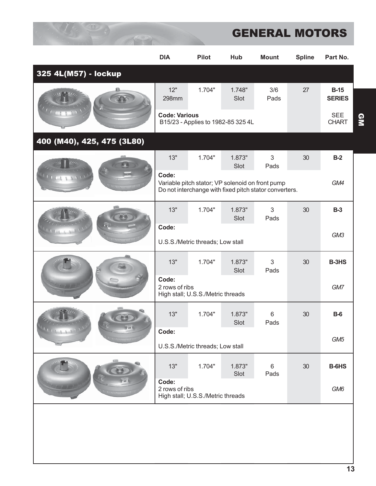|                            | <b>DIA</b>              | <b>Pilot</b>                                                                                               | Hub            | <b>Mount</b>           | <b>Spline</b> | Part No.                   |
|----------------------------|-------------------------|------------------------------------------------------------------------------------------------------------|----------------|------------------------|---------------|----------------------------|
| 325 4L(M57) - lockup       |                         |                                                                                                            |                |                        |               |                            |
|                            | 12"<br>298mm            | 1.704"                                                                                                     | 1.748"<br>Slot | 3/6<br>Pads            | 27            | $B-15$<br><b>SERIES</b>    |
|                            | <b>Code: Various</b>    | B15/23 - Applies to 1982-85 325 4L                                                                         |                |                        |               | <b>SEE</b><br><b>CHART</b> |
| 400 (M40), 425, 475 (3L80) |                         |                                                                                                            |                |                        |               |                            |
|                            | 13"                     | 1.704"                                                                                                     | 1.873"<br>Slot | $\mathfrak{S}$<br>Pads | 30            | $B-2$                      |
|                            | Code:                   | Variable pitch stator; VP solenoid on front pump<br>Do not interchange with fixed pitch stator converters. |                |                        |               | GM4                        |
|                            | 13"                     | 1.704"                                                                                                     | 1.873"<br>Slot | 3<br>Pads              | 30            | $B-3$                      |
|                            | Code:                   | U.S.S./Metric threads; Low stall                                                                           |                |                        |               | GM3                        |
|                            | 13"                     | 1.704"                                                                                                     | 1.873"<br>Slot | 3<br>Pads              | 30            | B-3HS                      |
|                            | Code:<br>2 rows of ribs | High stall; U.S.S./Metric threads                                                                          |                |                        |               | GM7                        |
|                            | 13"                     | 1.704"                                                                                                     | 1.873"<br>Slot | 6<br>Pads              | 30            | $B-6$                      |
| <b>ANTICIA</b>             | Code:                   |                                                                                                            |                |                        |               | GM <sub>5</sub>            |
|                            |                         | U.S.S./Metric threads; Low stall                                                                           |                |                        |               |                            |
|                            | 13"                     | 1.704"                                                                                                     | 1.873"<br>Slot | 6<br>Pads              | 30            | B-6HS                      |
|                            | Code:<br>2 rows of ribs | High stall; U.S.S./Metric threads                                                                          |                |                        |               | GM <sub>6</sub>            |
|                            |                         |                                                                                                            |                |                        |               |                            |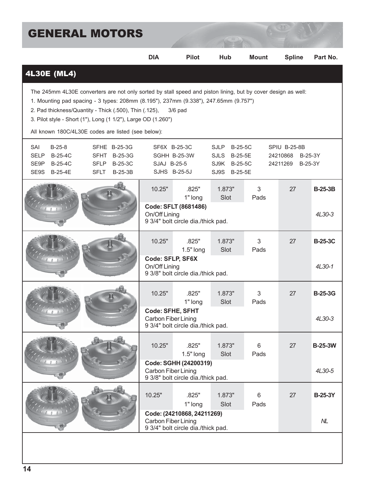| <b>GENERAL MOTORS</b>                                                                                                                                                                                                                                                                                                                                                                               |                                             |                                                                                   |                                                                                  |              |                                                            |                          |  |  |
|-----------------------------------------------------------------------------------------------------------------------------------------------------------------------------------------------------------------------------------------------------------------------------------------------------------------------------------------------------------------------------------------------------|---------------------------------------------|-----------------------------------------------------------------------------------|----------------------------------------------------------------------------------|--------------|------------------------------------------------------------|--------------------------|--|--|
|                                                                                                                                                                                                                                                                                                                                                                                                     | <b>DIA</b>                                  | <b>Pilot</b>                                                                      | Hub                                                                              | <b>Mount</b> | <b>Spline</b>                                              | Part No.                 |  |  |
| <b>4L30E (ML4)</b>                                                                                                                                                                                                                                                                                                                                                                                  |                                             |                                                                                   |                                                                                  |              |                                                            |                          |  |  |
| The 245mm 4L30E converters are not only sorted by stall speed and piston lining, but by cover design as well:<br>1. Mounting pad spacing - 3 types: 208mm (8.195"), 237mm (9.338"), 247.65mm (9.757")<br>2. Pad thickness/Quantity - Thick (.500), Thin (.125),<br>$3/6$ pad<br>3. Pilot style - Short (1"), Long (1 1/2"), Large OD (1.260")<br>All known 180C/4L30E codes are listed (see below): |                                             |                                                                                   |                                                                                  |              |                                                            |                          |  |  |
| SAI<br>$B-25-8$<br>SFHE B-25-3G<br><b>B-25-4C</b><br><b>SELP</b><br><b>SFHT</b><br>B-25-3G<br><b>B-25-4C</b><br>SE9P<br><b>SFLP</b><br>B-25-3C<br>SE9S B-25-4E<br><b>SFLT</b><br>$B-25-3B$                                                                                                                                                                                                          | SJAJ B-25-5                                 | SF6X B-25-3C<br>SGHH B-25-3W<br>SJHS B-25-5J                                      | <b>SJLP</b><br>B-25-5C<br><b>SJLS</b><br>B-25-5E<br>SJ9K B-25-5C<br>SJ9S B-25-5E |              | SPIU B-25-8B<br>24210868<br>B-25-3Y<br>24211269<br>B-25-3Y |                          |  |  |
|                                                                                                                                                                                                                                                                                                                                                                                                     | 10.25"<br>On/Off Lining                     | .825"<br>1" long<br>Code: SFLT (8681486)<br>9 3/4" bolt circle dia./thick pad.    | 1.873"<br>Slot                                                                   | 3<br>Pads    | 27                                                         | <b>B-25-3B</b><br>4L30-3 |  |  |
|                                                                                                                                                                                                                                                                                                                                                                                                     | 10.25"<br>Code: SFLP, SF6X<br>On/Off Lining | .825"<br>$1.5"$ long<br>9 3/8" bolt circle dia./thick pad.                        | 1.873"<br>Slot                                                                   | 3<br>Pads    | 27                                                         | <b>B-25-3C</b><br>4L30-1 |  |  |
|                                                                                                                                                                                                                                                                                                                                                                                                     | 10.25"<br>Carbon Fiber Lining               | .825"<br>1" long<br><b>Code: SFHE, SFHT</b><br>9 3/4" bolt circle dia./thick pad. | 1.873"<br>Slot                                                                   | 3<br>Pads    | 27                                                         | <b>B-25-3G</b><br>4L30-3 |  |  |
|                                                                                                                                                                                                                                                                                                                                                                                                     | 10.25"<br>Carbon Fiber Lining               | .825"<br>1.5" long<br>Code: SGHH (24200319)<br>9 3/8" bolt circle dia./thick pad. | 1.873"<br>Slot                                                                   | 6<br>Pads    | 27                                                         | <b>B-25-3W</b><br>4L30-5 |  |  |
|                                                                                                                                                                                                                                                                                                                                                                                                     |                                             |                                                                                   |                                                                                  |              |                                                            |                          |  |  |

**Code: (24210868, 24211269)**

9 3/4" bolt circle dia./thick pad.

10.25" .825" 1.873" 6 27 **B-25-3Y**

Carbon Fiber Lining *NL*

1" long Slot Pads

 $0<sub>0</sub>$ 

 $\sigma$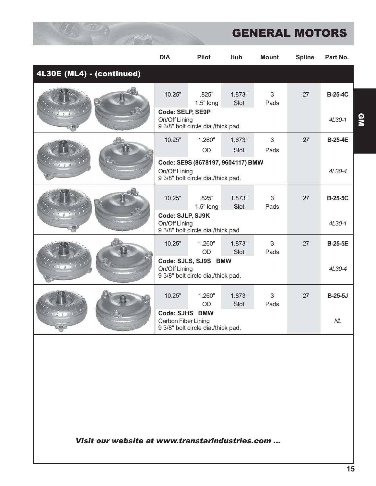|                           | <b>DIA</b>                                   | <b>Pilot</b>                                                            | Hub            | <b>Mount</b> | <b>Spline</b> | Part No.                 |
|---------------------------|----------------------------------------------|-------------------------------------------------------------------------|----------------|--------------|---------------|--------------------------|
| 4L30E (ML4) - (continued) |                                              |                                                                         |                |              |               |                          |
|                           | 10.25"<br>Code: SELP, SE9P<br>On/Off Lining  | .825"<br>$1.5"$ long                                                    | 1.873"<br>Slot | 3<br>Pads    | 27            | <b>B-25-4C</b><br>4L30-1 |
|                           |                                              | 9 3/8" bolt circle dia./thick pad.                                      |                |              |               |                          |
|                           | 10.25"                                       | 1.260"                                                                  | 1.873"         | 3            | 27            | <b>B-25-4E</b>           |
|                           |                                              | OD                                                                      | Slot           | Pads         |               |                          |
|                           | On/Off Lining                                | Code: SE9S (8678197, 9604117) BMW<br>9 3/8" bolt circle dia./thick pad. |                |              | 4L30-4        |                          |
|                           | 10.25"                                       | .825"<br>$1.5"$ long                                                    | 1.873"<br>Slot | 3<br>Pads    | 27            | <b>B-25-5C</b>           |
|                           | Code: SJLP, SJ9K<br>On/Off Lining            | 9 3/8" bolt circle dia./thick pad.                                      |                | 4L30-1       |               |                          |
|                           | 10.25"                                       | 1.260"<br><b>OD</b>                                                     | 1.873"<br>Slot | 3<br>Pads    | 27            | <b>B-25-5E</b>           |
|                           | On/Off Lining                                | Code: SJLS, SJ9S BMW<br>9 3/8" bolt circle dia./thick pad.              |                | 4L30-4       |               |                          |
|                           | 10.25"                                       | 1.260"<br>OD                                                            | 1.873"<br>Slot | 3<br>Pads    | 27            | <b>B-25-5J</b>           |
|                           | <b>Code: SJHS BMW</b><br>Carbon Fiber Lining | 9 3/8" bolt circle dia./thick pad.                                      |                |              |               | N <sub>L</sub>           |

*Visit our website at www.transtarindustries.com ...*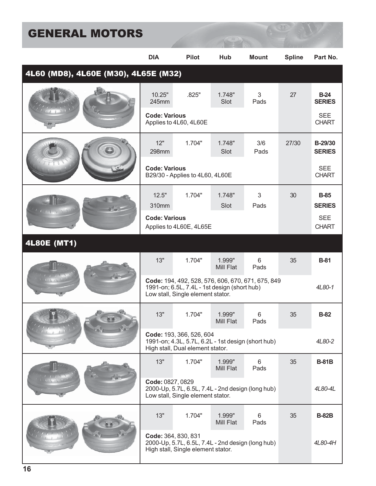|                                      | <b>DIA</b>                                                                                                                             | <b>Pilot</b>                                                                            | Hub                 | <b>Mount</b> | <b>Spline</b> | Part No.                     |
|--------------------------------------|----------------------------------------------------------------------------------------------------------------------------------------|-----------------------------------------------------------------------------------------|---------------------|--------------|---------------|------------------------------|
| 4L60 (MD8), 4L60E (M30), 4L65E (M32) |                                                                                                                                        |                                                                                         |                     |              |               |                              |
|                                      | 10.25"<br>245mm                                                                                                                        | .825"                                                                                   | 1.748"<br>Slot      | 3<br>Pads    | 27            | $B-24$<br><b>SERIES</b>      |
|                                      | <b>Code: Various</b>                                                                                                                   | Applies to 4L60, 4L60E                                                                  |                     |              |               | <b>SEE</b><br><b>CHART</b>   |
|                                      | 12"<br>298mm                                                                                                                           | 1.704"                                                                                  | 1.748"<br>Slot      | 3/6<br>Pads  | 27/30         | B-29/30<br><b>SERIES</b>     |
|                                      | <b>Code: Various</b>                                                                                                                   | B29/30 - Applies to 4L60, 4L60E                                                         |                     |              |               | <b>SEE</b><br><b>CHART</b>   |
|                                      | 12.5"<br>310mm                                                                                                                         | 1.704"                                                                                  | 1.748"<br>Slot      | 3<br>Pads    | 30            | <b>B-85</b><br><b>SERIES</b> |
|                                      | <b>Code: Various</b>                                                                                                                   | Applies to 4L60E, 4L65E                                                                 |                     |              |               | <b>SEE</b><br><b>CHART</b>   |
| <b>4L80E (MT1)</b>                   |                                                                                                                                        |                                                                                         |                     |              |               |                              |
|                                      | 13"                                                                                                                                    | 1.704"                                                                                  | 1.999"<br>Mill Flat | 6<br>Pads    | 35            | <b>B-81</b>                  |
|                                      | Code: 194, 492, 528, 576, 606, 670, 671, 675, 849<br>1991-on; 6.5L, 7.4L - 1st design (short hub)<br>Low stall, Single element stator. |                                                                                         |                     |              |               | 4L80-1                       |
|                                      | 13"                                                                                                                                    | 1.704"                                                                                  | 1.999"<br>Mill Flat | 6<br>Pads    | 35            | <b>B-82</b>                  |
|                                      | Code: 193, 366, 526, 604<br>1991-on; 4.3L, 5.7L, 6.2L - 1st design (short hub)<br>High stall, Dual element stator.                     |                                                                                         |                     |              |               | 4L80-2                       |
|                                      | 13"                                                                                                                                    | 1.704"                                                                                  | 1.999"<br>Mill Flat | 6<br>Pads    | 35            | <b>B-81B</b>                 |
|                                      | Code: 0827, 0829<br>2000-Up, 5.7L, 6.5L, 7.4L - 2nd design (long hub)<br>Low stall, Single element stator.                             |                                                                                         |                     |              |               | 4L80-4L                      |
|                                      | 13"                                                                                                                                    | 1.704"                                                                                  | 1.999"<br>Mill Flat | 6<br>Pads    | 35            | <b>B-82B</b>                 |
|                                      | Code: 364, 830, 831                                                                                                                    | 2000-Up, 5.7L, 6.5L, 7.4L - 2nd design (long hub)<br>High stall, Single element stator. |                     |              |               | 4L80-4H                      |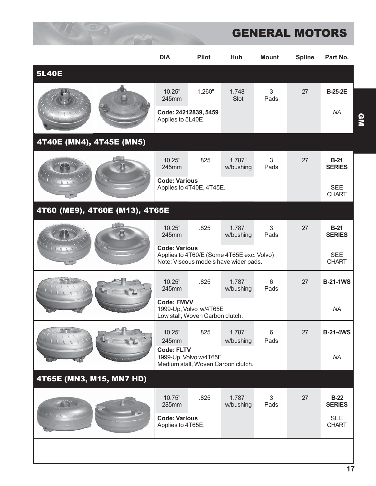|                                | <b>DIA</b>                                | <b>Pilot</b>                                                                       | Hub                 | <b>Mount</b>               | <b>Spline</b> | Part No.                   |
|--------------------------------|-------------------------------------------|------------------------------------------------------------------------------------|---------------------|----------------------------|---------------|----------------------------|
| <b>5L40E</b>                   |                                           |                                                                                    |                     |                            |               |                            |
|                                | 10.25"<br>245mm                           | 1.260"                                                                             | 1.748"<br>Slot      | 3<br>Pads                  | 27            | <b>B-25-2E</b>             |
|                                |                                           | Code: 24212839, 5459<br>Applies to 5L40E                                           |                     |                            | <b>NA</b>     |                            |
| 4T40E (MN4), 4T45E (MN5)       |                                           |                                                                                    |                     |                            |               |                            |
|                                | 10.25"<br>245mm                           | .825"                                                                              | 1.787"<br>w/bushing | 3<br>Pads                  | 27            | $B-21$<br><b>SERIES</b>    |
|                                | <b>Code: Various</b>                      | Applies to 4T40E, 4T45E.                                                           |                     |                            |               | <b>SEE</b><br><b>CHART</b> |
| 4T60 (ME9), 4T60E (M13), 4T65E |                                           |                                                                                    |                     |                            |               |                            |
|                                | 10.25"<br>245mm                           | .825"                                                                              | 1.787"<br>w/bushing | 3<br>Pads                  | 27            | $B-21$<br><b>SERIES</b>    |
|                                | <b>Code: Various</b>                      | Applies to 4T60/E (Some 4T65E exc. Volvo)<br>Note: Viscous models have wider pads. |                     | <b>SEE</b><br><b>CHART</b> |               |                            |
|                                | 10.25"<br>245mm                           | .825"                                                                              | 1.787"<br>w/bushing | 6<br>Pads                  | 27            | <b>B-21-1WS</b>            |
|                                | <b>Code: FMVV</b>                         | 1999-Up, Volvo w/4T65E<br>Low stall, Woven Carbon clutch.                          |                     | <b>NA</b>                  |               |                            |
|                                | 10.25"<br>245mm                           | .825"                                                                              | 1.787"<br>w/bushing | $6\phantom{1}$<br>Pads     | 27            | <b>B-21-4WS</b>            |
|                                | <b>Code: FLTV</b>                         | 1999-Up, Volvo w/4T65E<br>Medium stall, Woven Carbon clutch.                       |                     | <b>NA</b>                  |               |                            |
| 4T65E (MN3, M15, MN7 HD)       |                                           |                                                                                    |                     |                            |               |                            |
|                                | 10.75"<br>285mm                           | .825"                                                                              | 1.787"<br>w/bushing | 3<br>Pads                  | 27            | $B-22$<br><b>SERIES</b>    |
|                                | <b>Code: Various</b><br>Applies to 4T65E. |                                                                                    |                     |                            |               | <b>SEE</b><br><b>CHART</b> |
|                                |                                           |                                                                                    |                     |                            |               |                            |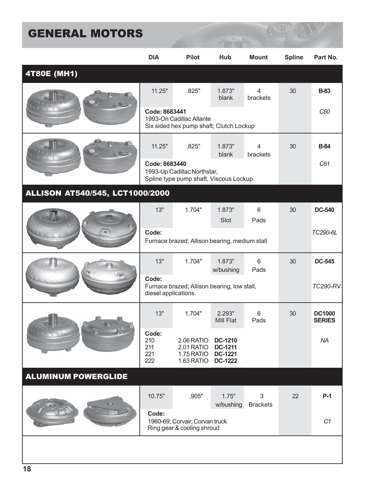|                                        | <b>DIA</b>                        | <b>Pilot</b>                                                           | Hub                                                                  | <b>Mount</b>               | <b>Spline</b> | Part No.                       |
|----------------------------------------|-----------------------------------|------------------------------------------------------------------------|----------------------------------------------------------------------|----------------------------|---------------|--------------------------------|
| 4T80E (MH1)                            |                                   |                                                                        |                                                                      |                            |               |                                |
|                                        | 11.25"                            | .825"                                                                  | 1.873"<br>blank                                                      | 4<br>brackets              | 30            | <b>B-83</b>                    |
|                                        | Code: 8683441                     | 1993-On Cadillac Allante<br>Six sided hex pump shaft; Clutch Lockup    |                                                                      |                            |               | C60                            |
|                                        | 11.25"                            | .825"                                                                  | 1.873"<br>blank                                                      | $\overline{4}$<br>brackets | 30            | <b>B-84</b>                    |
|                                        | Code: 8683440                     | 1993-Up Cadillac Northstar,<br>Spline type pump shaft, Viscous Lockup. |                                                                      |                            |               | C61                            |
| <b>ALLISON AT540/545, LCT1000/2000</b> |                                   |                                                                        |                                                                      |                            |               |                                |
|                                        | 13"                               | 1.704"                                                                 | 1.873"<br>Slot                                                       | 6<br>Pads                  | 30            | <b>DC-540</b>                  |
|                                        | Code:                             | Furnace brazed; Allison bearing, medium stall                          |                                                                      |                            | TC290-6L      |                                |
|                                        | 13"                               | 1.704"                                                                 | 1.873"<br>w/bushing                                                  | 6<br>Pads                  | 30            | <b>DC-545</b>                  |
|                                        | Code:<br>diesel applications.     | Furnace brazed; Allison bearing, low stall,                            |                                                                      | <b>TC290-RV</b>            |               |                                |
|                                        | 13"                               | 1.704"                                                                 | 2.293"<br>Mill Flat                                                  | 6<br>Pads                  | 30            | <b>DC1000</b><br><b>SERIES</b> |
|                                        | Code:<br>210<br>211<br>221<br>222 | 2.06 RATIO<br>2.01 RATIO<br>1.75 RATIO<br>1.63 RATIO                   | <b>DC-1210</b><br><b>DC-1211</b><br><b>DC-1221</b><br><b>DC-1222</b> |                            |               | <b>NA</b>                      |
| <b>ALUMINUM POWERGLIDE</b>             |                                   |                                                                        |                                                                      |                            |               |                                |
|                                        | 10.75"                            | .905"                                                                  | 1.75"<br>w/bushing                                                   | 3<br><b>Brackets</b>       | 22            | $P-1$                          |
|                                        | Code:                             | 1960-69; Corvair, Corvan truck<br>Ring gear & cooling shroud           |                                                                      | C1                         |               |                                |
|                                        |                                   |                                                                        |                                                                      |                            |               |                                |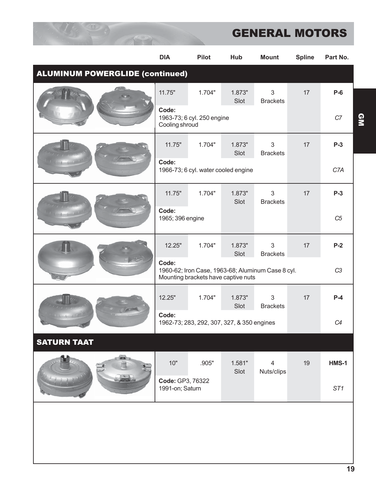|                                        | <b>DIA</b>                          | <b>Pilot</b>                                                                             | Hub            | <b>Mount</b>         | <b>Spline</b> | Part No.        |
|----------------------------------------|-------------------------------------|------------------------------------------------------------------------------------------|----------------|----------------------|---------------|-----------------|
| <b>ALUMINUM POWERGLIDE (continued)</b> |                                     |                                                                                          |                |                      |               |                 |
|                                        | 11.75"                              | 1.704"                                                                                   | 1.873"<br>Slot | 3<br><b>Brackets</b> | 17            | $P-6$           |
|                                        | Code:<br>Cooling shroud             | 1963-73; 6 cyl. 250 engine                                                               |                |                      |               | C7              |
|                                        | 11.75"                              | 1.704"                                                                                   | 1.873"<br>Slot | 3<br><b>Brackets</b> | 17            | $P-3$           |
|                                        | Code:                               | 1966-73; 6 cyl. water cooled engine                                                      |                |                      |               | C7A             |
|                                        | 11.75"                              | 1.704"                                                                                   | 1.873"<br>Slot | 3<br><b>Brackets</b> | 17            | $P-3$           |
|                                        | Code:<br>1965; 396 engine           |                                                                                          |                |                      |               | C5              |
|                                        | 12.25"                              | 1.704"                                                                                   | 1.873"<br>Slot | 3<br><b>Brackets</b> | 17            | $P-2$           |
|                                        | Code:                               | 1960-62; Iron Case, 1963-68; Aluminum Case 8 cyl.<br>Mounting brackets have captive nuts |                | C <sub>3</sub>       |               |                 |
|                                        | 12.25"                              | 1.704"                                                                                   | 1.873"<br>Slot | 3<br><b>Brackets</b> | 17            | $P-4$           |
|                                        | Code:                               | 1962-73; 283, 292, 307, 327, & 350 engines                                               |                | C4                   |               |                 |
| <b>SATURN TAAT</b>                     |                                     |                                                                                          |                |                      |               |                 |
|                                        | 10"                                 | .905"                                                                                    | 1.581"<br>Slot | 4<br>Nuts/clips      | 19            | HMS-1           |
|                                        | Code: GP3, 76322<br>1991-on; Saturn |                                                                                          |                |                      |               | ST <sub>1</sub> |
|                                        |                                     |                                                                                          |                |                      |               |                 |
|                                        |                                     |                                                                                          |                |                      |               |                 |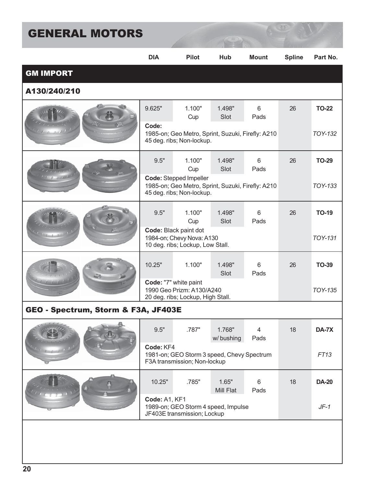|                                                                                                                                                                                                                                                                                                                                                                                                                              | <b>DIA</b>                                                                              | <b>Pilot</b>                                                                                                    | Hub                 | <b>Mount</b>           | <b>Spline</b> | Part No.     |
|------------------------------------------------------------------------------------------------------------------------------------------------------------------------------------------------------------------------------------------------------------------------------------------------------------------------------------------------------------------------------------------------------------------------------|-----------------------------------------------------------------------------------------|-----------------------------------------------------------------------------------------------------------------|---------------------|------------------------|---------------|--------------|
| <b>GM IMPORT</b>                                                                                                                                                                                                                                                                                                                                                                                                             |                                                                                         |                                                                                                                 |                     |                        |               |              |
| A130/240/210                                                                                                                                                                                                                                                                                                                                                                                                                 |                                                                                         |                                                                                                                 |                     |                        |               |              |
|                                                                                                                                                                                                                                                                                                                                                                                                                              | 9.625"                                                                                  | 1.100"<br>Cup                                                                                                   | 1.498"<br>Slot      | 6<br>Pads              | 26            | <b>TO-22</b> |
|                                                                                                                                                                                                                                                                                                                                                                                                                              | Code:                                                                                   | 1985-on; Geo Metro, Sprint, Suzuki, Firefly: A210<br>45 deg. ribs; Non-lockup.                                  |                     |                        |               | TOY-132      |
|                                                                                                                                                                                                                                                                                                                                                                                                                              | 9.5"                                                                                    | 1.100"<br>Cup                                                                                                   | 1.498"<br>Slot      | 6<br>Pads              | 26            | <b>TO-29</b> |
|                                                                                                                                                                                                                                                                                                                                                                                                                              |                                                                                         | <b>Code: Stepped Impeller</b><br>1985-on; Geo Metro, Sprint, Suzuki, Firefly: A210<br>45 deg. ribs; Non-lockup. |                     |                        |               | TOY-133      |
|                                                                                                                                                                                                                                                                                                                                                                                                                              | 9.5"                                                                                    | 1.100"<br>Cup                                                                                                   | 1.498"<br>Slot      | 6<br>Pads              | 26            | <b>TO-19</b> |
| $\begin{array}{ccccccccc}\n\text{A} & \text{B} & \text{A} & \text{B} & \text{B} & \text{B} & \text{B} & \text{B} & \text{B} & \text{B} & \text{B} & \text{B} & \text{B} & \text{B} & \text{B} & \text{B} & \text{B} & \text{B} & \text{B} & \text{B} & \text{B} & \text{B} & \text{B} & \text{B} & \text{B} & \text{B} & \text{B} & \text{B} & \text{B} & \text{B} & \text{B} & \text{B} & \text{B} & \text{B} & \text{B} &$ |                                                                                         | Code: Black paint dot<br>1984-on; Chevy Nova: A130<br>10 deg. ribs; Lockup, Low Stall.                          |                     | <b>TOY-131</b>         |               |              |
|                                                                                                                                                                                                                                                                                                                                                                                                                              | 10.25"                                                                                  | 1.100"                                                                                                          | 1.498"<br>Slot      | $6\phantom{1}$<br>Pads | 26            | <b>TO-39</b> |
|                                                                                                                                                                                                                                                                                                                                                                                                                              |                                                                                         | Code: "7" white paint<br>1990 Geo Prizm: A130/A240<br>20 deg. ribs; Lockup, High Stall.                         |                     | TOY-135                |               |              |
| GEO - Spectrum, Storm & F3A, JF403E                                                                                                                                                                                                                                                                                                                                                                                          |                                                                                         |                                                                                                                 |                     |                        |               |              |
| 矗<br><b>Michael</b>                                                                                                                                                                                                                                                                                                                                                                                                          | 9.5"                                                                                    | .787"                                                                                                           | 1.768"<br>w/bushing | 4<br>Pads              | 18            | DA-7X        |
|                                                                                                                                                                                                                                                                                                                                                                                                                              | Code: KF4<br>1981-on; GEO Storm 3 speed, Chevy Spectrum<br>F3A transmission; Non-lockup |                                                                                                                 |                     |                        |               | FT13         |
|                                                                                                                                                                                                                                                                                                                                                                                                                              | 10.25"                                                                                  | .785"                                                                                                           | 1.65"<br>Mill Flat  | 6<br>Pads              | 18            | <b>DA-20</b> |
|                                                                                                                                                                                                                                                                                                                                                                                                                              | Code: A1, KF1<br>1989-on; GEO Storm 4 speed, Impulse<br>JF403E transmission; Lockup     |                                                                                                                 |                     |                        |               | $JF-1$       |
|                                                                                                                                                                                                                                                                                                                                                                                                                              |                                                                                         |                                                                                                                 |                     |                        |               |              |